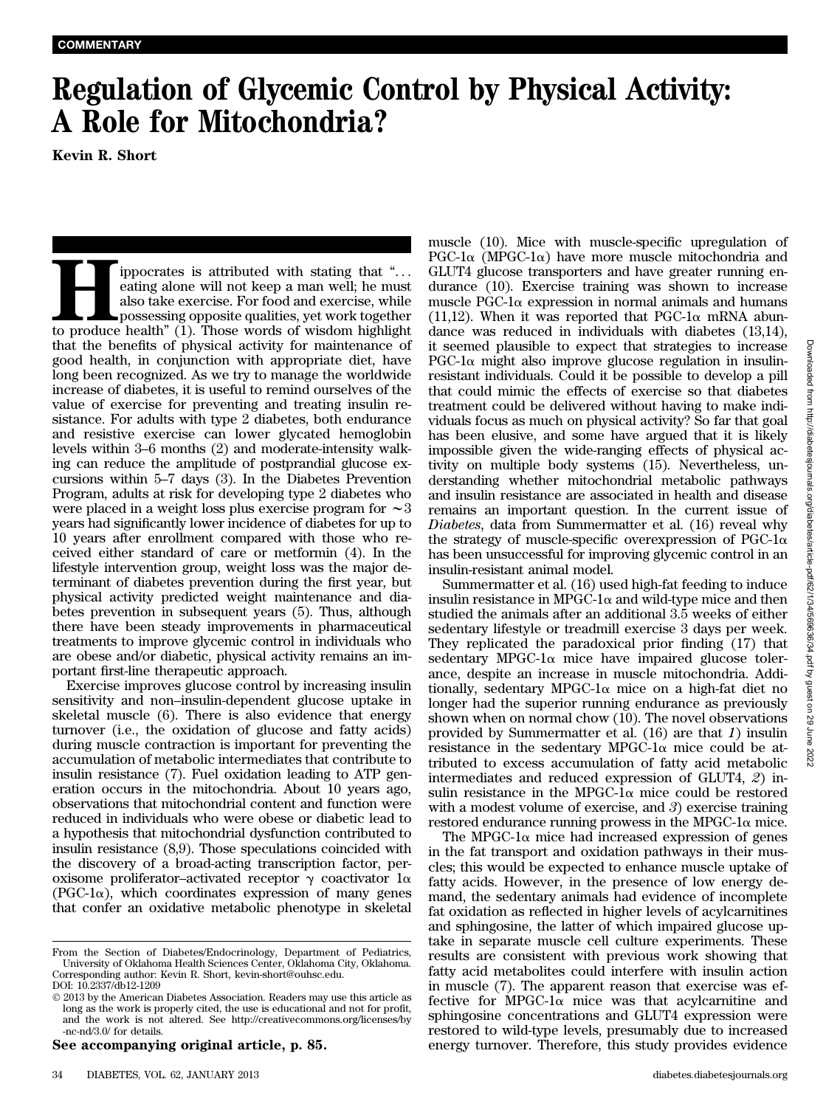## Regulation of Glycemic Control by Physical Activity: A Role for Mitochondria?

If incorates is attributed with stating that "...<br>
eating alone will not keep a man well; he must<br>
also take exercise. For food and exercise, while<br>
possessing opposite qualities, yet work together<br>
to produce health" (1). eating alone will not keep a man well; he must also take exercise. For food and exercise, while possessing opposite qualities, yet work together to produce health"  $(1)$ . Those words of wisdom highlight that the benefits of physical activity for maintenance of good health, in conjunction with appropriate diet, have long been recognized. As we try to manage the worldwide increase of diabetes, it is useful to remind ourselves of the value of exercise for preventing and treating insulin resistance. For adults with type 2 diabetes, both endurance and resistive exercise can lower glycated hemoglobin levels within 3–6 months (2) and moderate-intensity walking can reduce the amplitude of postprandial glucose excursions within 5–7 days (3). In the Diabetes Prevention Program, adults at risk for developing type 2 diabetes who were placed in a weight loss plus exercise program for  $\sim$ 3 years had significantly lower incidence of diabetes for up to 10 years after enrollment compared with those who received either standard of care or metformin (4). In the lifestyle intervention group, weight loss was the major determinant of diabetes prevention during the first year, but physical activity predicted weight maintenance and diabetes prevention in subsequent years (5). Thus, although there have been steady improvements in pharmaceutical treatments to improve glycemic control in individuals who are obese and/or diabetic, physical activity remains an important first-line therapeutic approach.

Exercise improves glucose control by increasing insulin sensitivity and non–insulin-dependent glucose uptake in skeletal muscle (6). There is also evidence that energy turnover (i.e., the oxidation of glucose and fatty acids) during muscle contraction is important for preventing the accumulation of metabolic intermediates that contribute to insulin resistance (7). Fuel oxidation leading to ATP generation occurs in the mitochondria. About 10 years ago, observations that mitochondrial content and function were reduced in individuals who were obese or diabetic lead to a hypothesis that mitochondrial dysfunction contributed to insulin resistance (8,9). Those speculations coincided with the discovery of a broad-acting transcription factor, peroxisome proliferator-activated receptor  $\gamma$  coactivator  $1\alpha$  $(PGC-1\alpha)$ , which coordinates expression of many genes that confer an oxidative metabolic phenotype in skeletal

See accompanying original article, p. 85.

muscle (10). Mice with muscle-specific upregulation of  $PGC-1\alpha$  (MPGC-1 $\alpha$ ) have more muscle mitochondria and GLUT4 glucose transporters and have greater running endurance (10). Exercise training was shown to increase muscle PGC-1 $\alpha$  expression in normal animals and humans  $(11,12)$ . When it was reported that PGC-1 $\alpha$  mRNA abundance was reduced in individuals with diabetes (13,14), it seemed plausible to expect that strategies to increase PGC-1 $\alpha$  might also improve glucose regulation in insulinresistant individuals. Could it be possible to develop a pill that could mimic the effects of exercise so that diabetes treatment could be delivered without having to make individuals focus as much on physical activity? So far that goal has been elusive, and some have argued that it is likely impossible given the wide-ranging effects of physical activity on multiple body systems (15). Nevertheless, understanding whether mitochondrial metabolic pathways and insulin resistance are associated in health and disease remains an important question. In the current issue of Diabetes, data from Summermatter et al. (16) reveal why the strategy of muscle-specific overexpression of PGC-1 $\alpha$ has been unsuccessful for improving glycemic control in an insulin-resistant animal model.

Summermatter et al. (16) used high-fat feeding to induce insulin resistance in MPGC-1 $\alpha$  and wild-type mice and then studied the animals after an additional 3.5 weeks of either sedentary lifestyle or treadmill exercise 3 days per week. They replicated the paradoxical prior finding (17) that sedentary MPGC-1 $\alpha$  mice have impaired glucose tolerance, despite an increase in muscle mitochondria. Additionally, sedentary MPGC-1 $\alpha$  mice on a high-fat diet no longer had the superior running endurance as previously shown when on normal chow (10). The novel observations provided by Summermatter et al. (16) are that 1) insulin resistance in the sedentary MPGC-1 $\alpha$  mice could be attributed to excess accumulation of fatty acid metabolic intermediates and reduced expression of GLUT4, 2) insulin resistance in the MPGC-1 $\alpha$  mice could be restored with a modest volume of exercise, and 3) exercise training restored endurance running prowess in the MPGC-1 $\alpha$  mice.

The MPGC-1 $\alpha$  mice had increased expression of genes in the fat transport and oxidation pathways in their muscles; this would be expected to enhance muscle uptake of fatty acids. However, in the presence of low energy demand, the sedentary animals had evidence of incomplete fat oxidation as reflected in higher levels of acylcarnitines and sphingosine, the latter of which impaired glucose uptake in separate muscle cell culture experiments. These results are consistent with previous work showing that fatty acid metabolites could interfere with insulin action in muscle (7). The apparent reason that exercise was effective for MPGC-1 $\alpha$  mice was that acylcarnitine and sphingosine concentrations and GLUT4 expression were restored to wild-type levels, presumably due to increased energy turnover. Therefore, this study provides evidence

From the Section of Diabetes/Endocrinology, Department of Pediatrics, University of Oklahoma Health Sciences Center, Oklahoma City, Oklahoma. Corresponding author: Kevin R. Short, [kevin-short@ouhsc.edu.](mailto:kevin-short@ouhsc.edu)

DOI: 10.2337/db12-1209

2013 by the American Diabetes Association. Readers may use this article as long as the work is properly cited, the use is educational and not for profit, and the work is not altered. See [http://creativecommons.org/licenses/by](http://creativecommons.org/licenses/by-nc-nd/3.0/) [-nc-nd/3.0/](http://creativecommons.org/licenses/by-nc-nd/3.0/) for details.